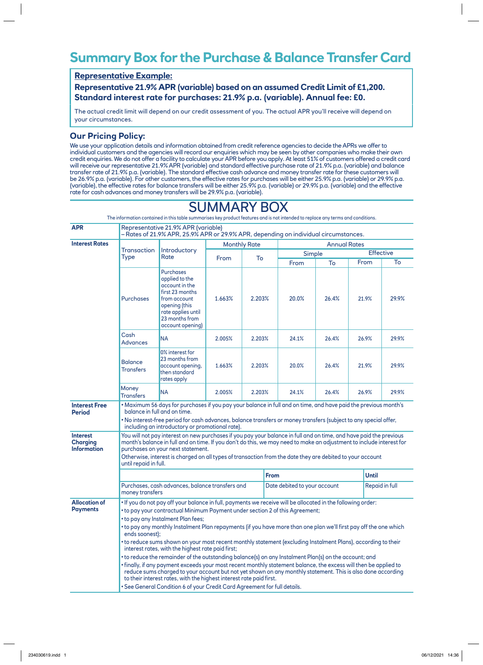## **Summary Box for the Purchase & Balance Transfer Card**

## **Representative Example:**

**Representative 21.9% APR (variable) based on an assumed Credit Limit of £1,200. Standard interest rate for purchases: 21.9% p.a. (variable). Annual fee: £0.**

The actual credit limit will depend on our credit assessment of you. The actual APR you'll receive will depend on your circumstances.

## **Our Pricing Policy:**

We use your application details and information obtained from credit reference agencies to decide the APRs we offer to individual customers and the agencies will record our enquiries which may be seen by other companies who make their own credit enquiries. We do not offer a facility to calculate your APR before you apply. At least 51% of customers offered a credit card will receive our representative 21.9% APR (variable) and standard effective purchase rate of 21.9% p.a. (variable) and balance transfer rate of 21.9% p.a. (variable). The standard effective cash advance and money transfer rate for these customers will be 26.9% p.a. (variable). For other customers, the effective rates for purchases will be either 25.9% p.a. (variable) or 29.9% p.a. (variable), the effective rates for balance transfers will be either 25.9% p.a. (variable) or 29.9% p.a. (variable) and the effective rate for cash advances and money transfers will be 29.9% p.a. (variable).

|                                                                                                                                                                                                                                                                                                                                                                                                                                                                                                                                                                                                                                                                                                                                                                                                                                                                                                                                                                   |                                                                                                                                                                      |                       |      |                                                 | The information contained in this table summarises key product features and is not intended to replace any terms and conditions. |                                                                                          |  |                  |                                                          |
|-------------------------------------------------------------------------------------------------------------------------------------------------------------------------------------------------------------------------------------------------------------------------------------------------------------------------------------------------------------------------------------------------------------------------------------------------------------------------------------------------------------------------------------------------------------------------------------------------------------------------------------------------------------------------------------------------------------------------------------------------------------------------------------------------------------------------------------------------------------------------------------------------------------------------------------------------------------------|----------------------------------------------------------------------------------------------------------------------------------------------------------------------|-----------------------|------|-------------------------------------------------|----------------------------------------------------------------------------------------------------------------------------------|------------------------------------------------------------------------------------------|--|------------------|----------------------------------------------------------|
| Representative 21.9% APR (variable)<br>- Rates of 21.9% APR, 25.9% APR or 29.9% APR, depending on individual circumstances.                                                                                                                                                                                                                                                                                                                                                                                                                                                                                                                                                                                                                                                                                                                                                                                                                                       |                                                                                                                                                                      |                       |      |                                                 |                                                                                                                                  |                                                                                          |  |                  |                                                          |
|                                                                                                                                                                                                                                                                                                                                                                                                                                                                                                                                                                                                                                                                                                                                                                                                                                                                                                                                                                   | Introductory<br>Rate                                                                                                                                                 | <b>Monthly Rate</b>   |      |                                                 | <b>Annual Rates</b>                                                                                                              |                                                                                          |  |                  |                                                          |
| Type                                                                                                                                                                                                                                                                                                                                                                                                                                                                                                                                                                                                                                                                                                                                                                                                                                                                                                                                                              |                                                                                                                                                                      |                       | To   |                                                 | Simple                                                                                                                           |                                                                                          |  | <b>Effective</b> |                                                          |
|                                                                                                                                                                                                                                                                                                                                                                                                                                                                                                                                                                                                                                                                                                                                                                                                                                                                                                                                                                   |                                                                                                                                                                      |                       |      |                                                 | From                                                                                                                             | To                                                                                       |  |                  | To                                                       |
| <b>Purchases</b>                                                                                                                                                                                                                                                                                                                                                                                                                                                                                                                                                                                                                                                                                                                                                                                                                                                                                                                                                  | <b>Purchases</b><br>applied to the<br>account in the<br>first 23 months<br>from account<br>opening (this<br>rate applies until<br>23 months from<br>account opening) | 1.663%                |      |                                                 | 20.0%                                                                                                                            | 26.4%                                                                                    |  |                  | 29.9%                                                    |
| Cash<br><b>Advances</b>                                                                                                                                                                                                                                                                                                                                                                                                                                                                                                                                                                                                                                                                                                                                                                                                                                                                                                                                           | <b>NA</b>                                                                                                                                                            | 2.005%                |      |                                                 | 24.1%                                                                                                                            | 26.4%                                                                                    |  |                  | 29.9%                                                    |
| <b>Balance</b><br><b>Transfers</b>                                                                                                                                                                                                                                                                                                                                                                                                                                                                                                                                                                                                                                                                                                                                                                                                                                                                                                                                | 0% interest for<br>23 months from<br>account opening,<br>then standard<br>rates apply                                                                                | 1.663%                |      |                                                 | 20.0%                                                                                                                            | 26.4%                                                                                    |  |                  | 29.9%                                                    |
| <b>Money</b><br><b>Transfers</b>                                                                                                                                                                                                                                                                                                                                                                                                                                                                                                                                                                                                                                                                                                                                                                                                                                                                                                                                  | <b>NA</b>                                                                                                                                                            | 2.005%                |      |                                                 | 24.1%                                                                                                                            | 26.4%                                                                                    |  |                  | 29.9%                                                    |
| . Maximum 56 days for purchases if you pay your balance in full and on time, and have paid the previous month's<br>balance in full and on time.<br>• No interest-free period for cash advances, balance transfers or money transfers (subject to any special offer,                                                                                                                                                                                                                                                                                                                                                                                                                                                                                                                                                                                                                                                                                               |                                                                                                                                                                      |                       |      |                                                 |                                                                                                                                  |                                                                                          |  |                  |                                                          |
| You will not pay interest on new purchases if you pay your balance in full and on time, and have paid the previous<br>month's balance in full and on time. If you don't do this, we may need to make an adjustment to include interest for<br>purchases on your next statement.<br>Otherwise, interest is charged on all types of transaction from the date they are debited to your account                                                                                                                                                                                                                                                                                                                                                                                                                                                                                                                                                                      |                                                                                                                                                                      |                       |      |                                                 |                                                                                                                                  |                                                                                          |  |                  |                                                          |
|                                                                                                                                                                                                                                                                                                                                                                                                                                                                                                                                                                                                                                                                                                                                                                                                                                                                                                                                                                   |                                                                                                                                                                      |                       |      |                                                 |                                                                                                                                  |                                                                                          |  |                  |                                                          |
| Purchases, cash advances, balance transfers and<br>money transfers                                                                                                                                                                                                                                                                                                                                                                                                                                                                                                                                                                                                                                                                                                                                                                                                                                                                                                |                                                                                                                                                                      |                       |      | Date debited to your account                    |                                                                                                                                  |                                                                                          |  | Repaid in full   |                                                          |
| . If you do not pay off your balance in full, payments we receive will be allocated in the following order:<br>• to pay your contractual Minimum Payment under section 2 of this Agreement;<br>• to pay any Instalment Plan fees;<br>• to pay any monthly Instalment Plan repayments (if you have more than one plan we'll first pay off the one which<br>ends soonest);<br>• to reduce sums shown on your most recent monthly statement (excluding Instalment Plans), according to their<br>interest rates, with the highest rate paid first;<br>• to reduce the remainder of the outstanding balance(s) on any Instalment Plan(s) on the account; and<br>• finally, if any payment exceeds your most recent monthly statement balance, the excess will then be applied to<br>reduce sums charged to your account but not yet shown on any monthly statement. This is also done according<br>to their interest rates, with the highest interest rate paid first. |                                                                                                                                                                      |                       |      |                                                 |                                                                                                                                  |                                                                                          |  |                  |                                                          |
|                                                                                                                                                                                                                                                                                                                                                                                                                                                                                                                                                                                                                                                                                                                                                                                                                                                                                                                                                                   | Transaction                                                                                                                                                          | until repaid in full. | From | including an introductory or promotional rate). | 2.203%<br>2.203%<br>2.203%<br>2.203%                                                                                             | <b>From</b><br>. See General Condition 6 of your Credit Card Agreement for full details. |  |                  | From<br>21.9%<br>26.9%<br>21.9%<br>26.9%<br><b>Until</b> |

## SUMMARY BOX